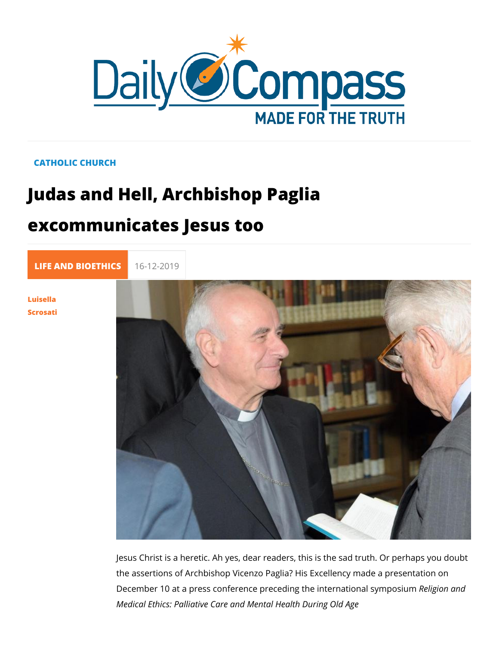## CATHOLIC CHURCH

## Judas and Hell, Archbishop Paglia excommunicates Jesus too

[LIFE AND BIOE](https://newdailycompass.com/en/life-and-bioethics) 16-12-2019

[Luisel](/en/luisella-scrosati)la [Scros](/en/luisella-scrosati)ati

> Jesus Christ is a heretic. Ah yes, dear readers, this is the sad the assertions of Archbishop Vicenzo Paglia? His Excellency m December 10 at a press conference preceding the Retiegrimantion mod Medical Ethics: Palliative Care and Mental Health During Old /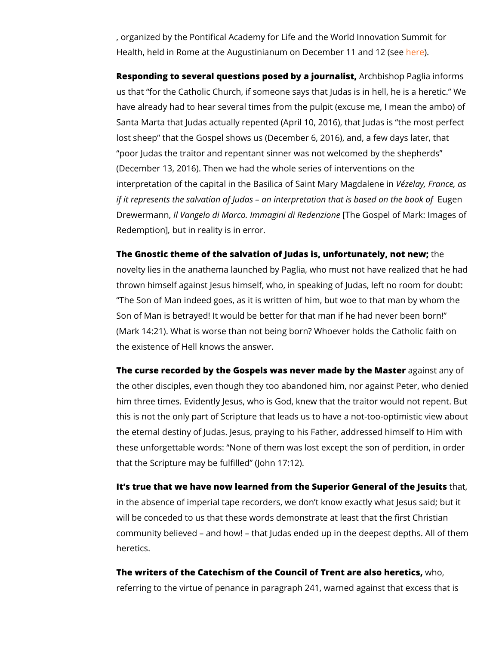, organized Bonthi eical Academy for Life and the World Innovati Health, held in Rome at the Augustinianum on Dreecreember 11 an

Responding to several questions posed bay a boishoplist aglia information of us that for the Catholic Church, if someone says that Judas is have already had to hear several times from the pulpit (excuse Santa Marta that Judas actually repented (April 10, 2016), tha lost sheep that the Gospel shows us (December 6, 2016), and poor Judas the traitor and repentant sinner was not welcomed (December 13, 2016). Then we had the whole series of interve interpretation of the capital in the Basilica of  $\sqrt{S}$  eximita $M$ , afrom  $M$  and  $g$ if it represents the salvation of Judas an interpretaElugnenthat Drewermahn Vangelo di Marco. Immagini Thobi GRoesd peen lz bofn Melark: Ima Redemption in reality is in error.

The Gnostic theme of the salvation of Judas is, unfomeunately, novelty lies in the anathema launched by Paglia, who must not thrown himself against Jesus himself, who, in speaking of Juda The Son of Man indeed goes, as it is written of him, but woe Son of Man is betrayed! It would be better for that man if he h (Mark 14:21). What is worse than not being born? Whoever hol the existence of Hell knows the answer.

The curse recorded by the Gospels was never maadgea ibnyst than Mate the other disciples, even though they too abandoned him, nor him three times. Evidently Jesus, who is God, knew that the tr this is not the only part of Scripture that leads us to have a n the eternal destiny of Judas. Jesus, praying to his Father, addressed to Him with the establishment of  $h$ these unforgettable words: None of them was lost except the that the Scripture may be fulfilled (John 17:12).

It s true that we have now learned from the Superior Gemet, al in the absence of imperial tape recorders, we don t know exac will be conceded to us that these words demonstrate at least t community believed and how! that Judas ended up in the de heretics.

The writers of the Catechism of the Council of Trenwthaor,e also I referring to the virtue of penance in paragraph 241, warned ag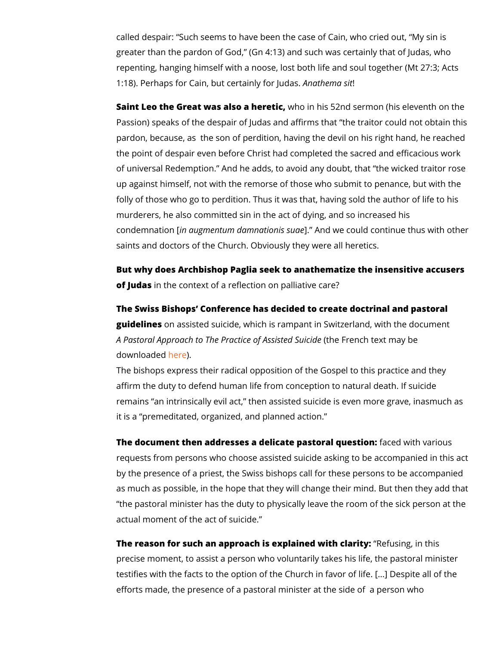called despair: Such seems to have been the case of Cain, wh greater than the pardon of God, (Gn 4:13) and such was certa repenting, hanging himself with a noose, lost both life and sou  $1:18$ ). Perhaps for Cain, but ce $\mathbf{A}$  that in ley milton sit indias.

Saint Leo the Great was alsow a ohenrehtiis 52nd sermon (his eleventh on the Sainth Carely Passion) speaks of the despair of Judas and affirms that the pardon, because, as the son of perdition, having the devil on the point of despair even before Christ had completed the sac of universal Redemption. And he adds, to avoid any doubt, th up against himself, not with the remorse of those who submit t folly of those who go to perdition. Thus it was that, having sol murderers, he also committed sin in the act of dying, and so in condemnationa [ ig mentum damna ]. ion Airs ds w ae could continue thus with our continue thus saints and doctors of the Church. Obviously they were all here

But why does Archbishop Paglia seek to anathematize the inse of Judas the context of a reflection on palliative care?

The Swiss Bishops Conference has decided to create doctrina guidelines assisted suicide, which is rampant in Switzerland, A Pastoral Approach to The Practiq(ehet FA sessics hte developed belogies) and  $\mathbf s$ downloadheed be.

The bishops express their radical opposition of the Gospel to affirm the duty to defend human life from conception to natura remains an intrinsically evil act, then assisted suicide is eve it is a premeditated, organized, and planned action.

The document then addresses a delicate pasfaccread wy utehs wisomipus requests from persons who choose assisted suicide asking to b by the presence of a priest, the Swiss bishops call for these p as much as possible, in the hope that they will change their m the pastoral minister has the duty to physically leave the roo actual moment of the act of suicide.

The reason for such an approach is explain **Redfusith** glamithis precise moment, to assist a person who voluntarily takes his I testifies with the facts to the option of the Church in favor of efforts made, the presence of a pastoral minister at the side o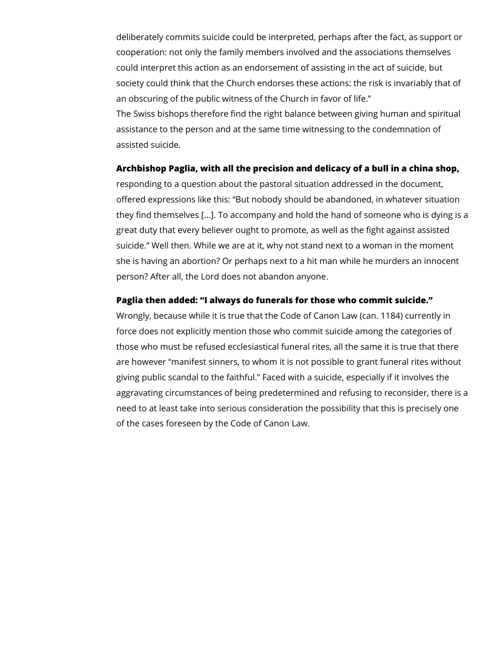deliberately commits suicide could be interpreted, perhaps after the fact, as support or cooperation: not only the family members involved and the associations themselves could interpret this action as an endorsement of assisting in the act of suicide, but society could think that the Church endorses these actions: the risk is invariably that of an obscuring of the public witness of the Church in favor of life." The Swiss bishops therefore find the right balance between giving human and spiritual assistance to the person and at the same time witnessing to the condemnation of assisted suicide.

## **Archbishop Paglia, with all the precision and delicacy of a bull in a china shop,**

responding to a question about the pastoral situation addressed in the document, offered expressions like this: "But nobody should be abandoned, in whatever situation they find themselves [...]. To accompany and hold the hand of someone who is dying is a great duty that every believer ought to promote, as well as the fight against assisted suicide." Well then. While we are at it, why not stand next to a woman in the moment she is having an abortion? Or perhaps next to a hit man while he murders an innocent person? After all, the Lord does not abandon anyone.

## **Paglia then added: "I always do funerals for those who commit suicide."**

Wrongly, because while it is true that the Code of Canon Law (can. 1184) currently in force does not explicitly mention those who commit suicide among the categories of those who must be refused ecclesiastical funeral rites, all the same it is true that there are however "manifest sinners, to whom it is not possible to grant funeral rites without giving public scandal to the faithful." Faced with a suicide, especially if it involves the aggravating circumstances of being predetermined and refusing to reconsider, there is a need to at least take into serious consideration the possibility that this is precisely one of the cases foreseen by the Code of Canon Law.